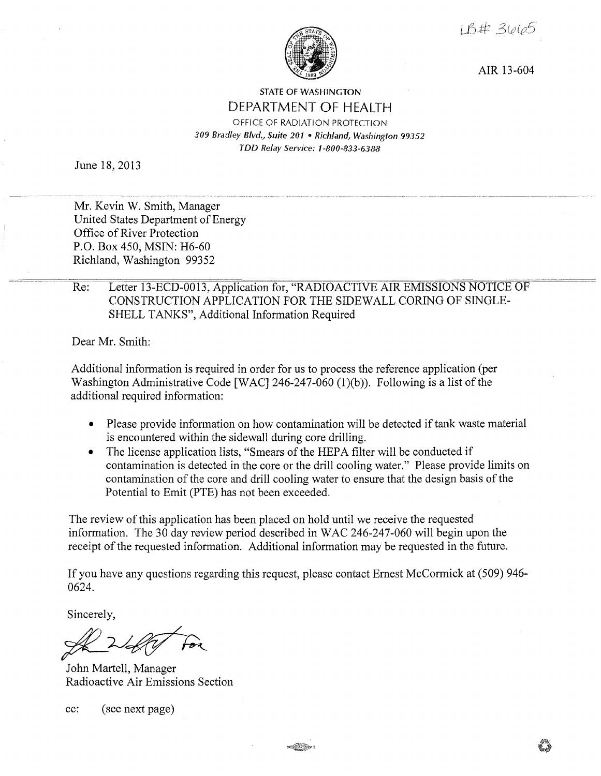1 B# 3665



AIR 13-604

## STATE OF WASHINGTON DEPARTMENT OF HEALTH OFFICE OF RADIATION PROTECTION *309 Bradley Blvd., Suite 201* • *Richland, Washington 99352 TDD Relay Service: 1-800-833-6388*

June 18, 2013

Mr. Kevin W. Smith, Manager United States Department of Energy Office of River Protection P.O. Box 450, MSIN: H6-60 Richland, Washington 99352

## Re: Letter 13-ECD-0013, Application for, "RADIOACTIVE AIR EMISSIONS NOTICE OF CONSTRUCTION APPLICATION FOR THE SIDEWALL CORING OF SINGLE-SHELL TANKS", Additional Information Required

Dear Mr. Smith:

Additional information is required in order for us to process the reference application (per Washington Administrative Code [WAC] 246-247-060 (1)(b)). Following is a list of the additional required information:

- Please provide information on how contamination will be detected if tank waste material is encountered within the sidewall during core drilling.
- The license application lists, "Smears of the HEPA filter will be conducted if contamination is detected in the core or the drill cooling water." Please provide limits on contamination of the core and drill cooling water to ensure that the design basis of the Potential to Emit (PTE) has not been exceeded.

The review of this application has been placed on hold until we receive the requested information. The 30 day review period described in WAC 246-247-060 will begin upon the receipt of the requested information. Additional information may be requested in the future.

If you have any questions regarding this request, please contact Ernest McCormick at (509) 946- 0624.

Sincerely,

Sincerely,

John Martell, Manager Radioactive Air Emissions Section

cc: (see next page)